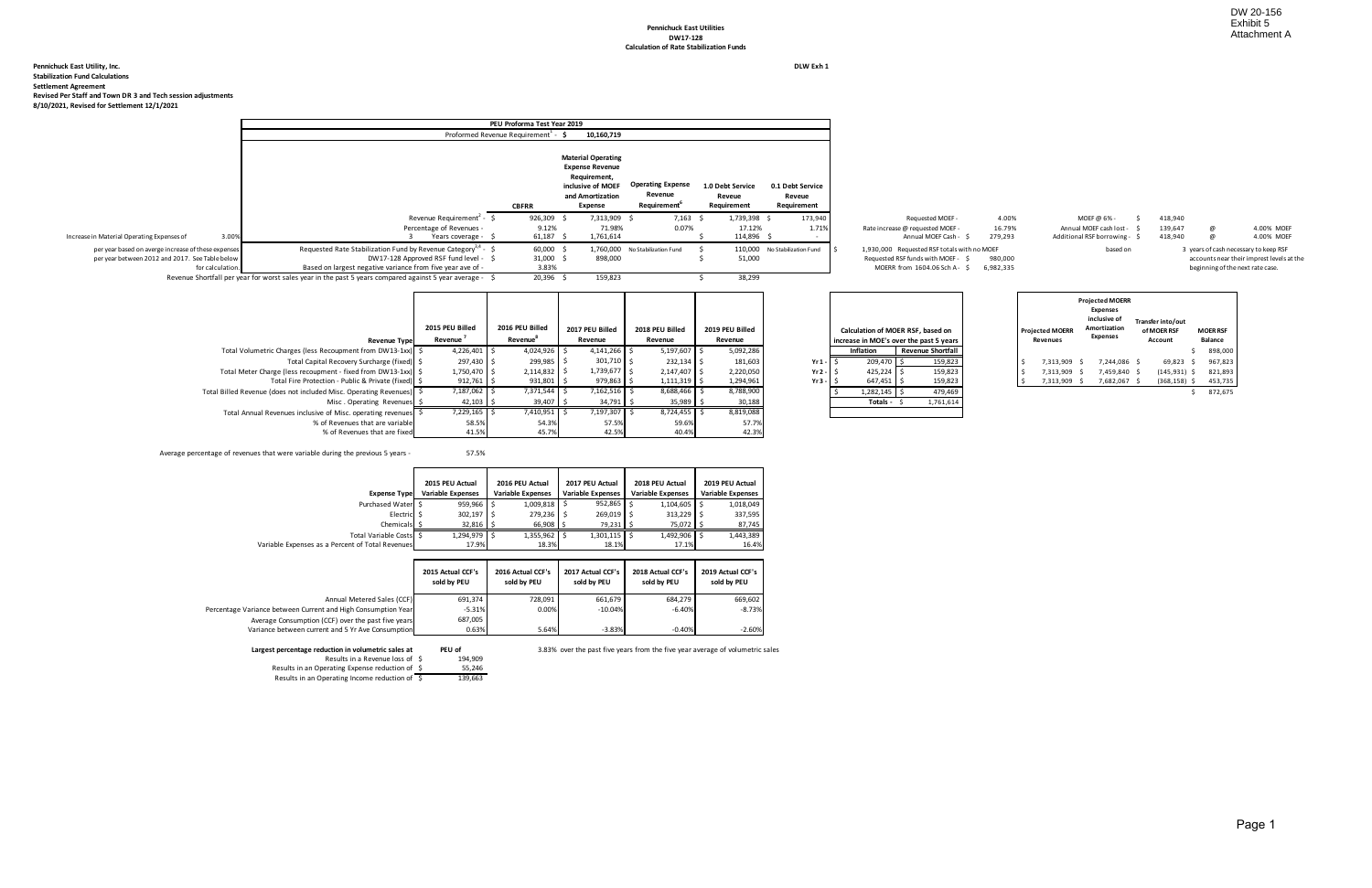#### **Pennichuck East Utilities DW17-128 Calculation of Rate Stabilization Funds**

**Pennichuck East Utility, Inc. DLW Exh 1 Stabilization Fund Calculations Settlement Agreement Revised Per Staff and Town DR 3 and Tech session adjustments 8/10/2021, Revised for Settlement 12/1/2021**

| Requested MOEF-                             | 4.00%   | MOEF @ 6% -                   | 418.940 |   |                                         |
|---------------------------------------------|---------|-------------------------------|---------|---|-----------------------------------------|
| Rate increase @ requested MOEF -            | 16.79%  | Annual MOEF cash lost -       | 139.647 | @ | 4.00% MOEF                              |
| Annual MOEF Cash - \$                       | 279.293 | Additional RSF borrowing - \$ | 418.940 | @ | 4.00% MOEF                              |
| 1,930,000 Requested RSF totals with no MOEF |         | based on                      |         |   | 3 years of cash necessary to keep RSF   |
| Requested RSF funds with MOEF - \$          | 980.000 |                               |         |   | accounts near their imprest levels at t |
|                                             | 0.00200 |                               |         |   |                                         |

| <b>Projected MOERR</b><br><b>Revenues</b> |           | <b>Projected MOERR</b><br><b>Expenses</b><br>inclusive of<br>Amortization<br><b>Expenses</b> |    | Transfer into/out<br>of MOER RSF<br>Account | <b>MOER RSF</b><br><b>Balance</b> |         |  |
|-------------------------------------------|-----------|----------------------------------------------------------------------------------------------|----|---------------------------------------------|-----------------------------------|---------|--|
|                                           |           |                                                                                              |    |                                             | \$                                | 898,000 |  |
| \$ ا                                      | 7,313,909 | \$<br>7,244,086                                                                              | Ś  | 69,823                                      | Ŝ                                 | 967,823 |  |
| \$                                        | 7,313,909 | \$<br>7,459,840                                                                              | Ś  | $(145, 931)$ \$                             |                                   | 821,893 |  |
|                                           | 7,313,909 | \$<br>7,682,067                                                                              | \$ | (368, 158)                                  | \$                                | 453,735 |  |
|                                           |           |                                                                                              |    |                                             | \$                                | 872,675 |  |

|                                                                      |                      |                |                 |                 |                 |                 |           |                  |                                         |  |                        | <b>Expenses</b> |  |                   |                 |  |
|----------------------------------------------------------------------|----------------------|----------------|-----------------|-----------------|-----------------|-----------------|-----------|------------------|-----------------------------------------|--|------------------------|-----------------|--|-------------------|-----------------|--|
|                                                                      |                      |                |                 |                 |                 |                 |           |                  |                                         |  |                        | inclusive of    |  | Transfer into/out |                 |  |
|                                                                      | 2015 PEU Billed      |                | 2016 PEU Billed | 2017 PEU Billed | 2018 PEU Billed | 2019 PEU Billed |           |                  | Calculation of MOER RSF, based on       |  | <b>Projected MOERR</b> | Amortization    |  | of MOER RSF       | <b>MOER RSF</b> |  |
| <b>Revenue Type</b>                                                  | Revenue <sup>'</sup> |                | Revenue°        | Revenue         | Revenue         | Revenue         |           |                  | increase in MOE's over the past 5 years |  | <b>Revenues</b>        | Expenses        |  | Account           | Balance         |  |
| Total Volumetric Charges (less Recoupment from DW13-1xx) \$          |                      | $4,226,401$ \$ | 4,024,926       | $4,141,266$ \$  | $5,197,607$ \$  | 5,092,286       |           | <b>Inflation</b> | <b>Revenue Shortfall</b>                |  |                        |                 |  |                   | 898,000         |  |
| Total Capital Recovery Surcharge (fixed) \$                          |                      | 297,430 \$     | 299,985 \$      | $301,710$ \$    | $232,134$ \$    | 181,603         | $Yr1-$    | $209,470$ \$     | 159,823                                 |  | 7,313,909              | 7,244,086 \$    |  | 69,823            | 967,823         |  |
| Total Meter Charge (less recoupment - fixed from DW13-1xx) \$        |                      | 1,750,470 \$   | $2,114,832$ \$  | $1,739,677$ \$  | 2,147,407 \$    | 2,220,050       | $Yr2 -$   | $425.224$ \$     | 159,823                                 |  | 7,313,909              | 7,459,840       |  | (145, 931)        | 821,893         |  |
| Total Fire Protection - Public & Private (fixed) \$                  |                      | $912,761$ \$   | 931,801 \$      | 979,863         | $1,111,319$ \$  | 1,294,961       | $Yr3 - 5$ | $647,451$ \$     | 159,823                                 |  | 7,313,909 \$           | 7,682,067       |  | $(368, 158)$ \$   | 453,735         |  |
| Total Billed Revenue (does not included Misc. Operating Revenues) \$ |                      | 7,187,062 \$   | 7,371,544       | 7,162,516 \$    | 8,688,466 \$    | 8,788,900       |           | $1,282,145$ \$   | 479,469                                 |  |                        |                 |  |                   | 872,675         |  |
| Misc. Operating Revenues \$                                          |                      | $42,103$ \$    | 39,407 \$       | $34,791$ \$     | $35,989$ \$     | 30,188          |           | Totals - \$      | 1,761,614                               |  |                        |                 |  |                   |                 |  |
| Total Annual Revenues inclusive of Misc. operating revenues \$       |                      | $7,229,165$ \$ | 7,410,951 \$    | 7,197,307 \$    | $8,724,455$ \$  | 8,819,088       |           |                  |                                         |  |                        |                 |  |                   |                 |  |
| % of Revenues that are variable                                      |                      | 58.5%          | 54.3%           | 57.5%           | 59.6%           | 57.7%           |           |                  |                                         |  |                        |                 |  |                   |                 |  |
| % of Revenues that are fixed                                         |                      | 41.5%          | 45.7%           | 42.5%           | 40.4%           | 42.3%           |           |                  |                                         |  |                        |                 |  |                   |                 |  |
|                                                                      |                      |                |                 |                 |                 |                 |           |                  |                                         |  |                        |                 |  |                   |                 |  |

|                                                                                                                            |                                                                                                                                                                                                                                                                                                      | PEU Proforma Test Year 2019                          |                                                                                                                         |                                                                 |                                           |                                           |                                                                                                                |                      |                               |         |                                  |                                                                                    |
|----------------------------------------------------------------------------------------------------------------------------|------------------------------------------------------------------------------------------------------------------------------------------------------------------------------------------------------------------------------------------------------------------------------------------------------|------------------------------------------------------|-------------------------------------------------------------------------------------------------------------------------|-----------------------------------------------------------------|-------------------------------------------|-------------------------------------------|----------------------------------------------------------------------------------------------------------------|----------------------|-------------------------------|---------|----------------------------------|------------------------------------------------------------------------------------|
|                                                                                                                            |                                                                                                                                                                                                                                                                                                      | Proformed Revenue Requirement <sup>1</sup> - $\zeta$ | 10,160,719                                                                                                              |                                                                 |                                           |                                           |                                                                                                                |                      |                               |         |                                  |                                                                                    |
|                                                                                                                            |                                                                                                                                                                                                                                                                                                      | <b>CBFRR</b>                                         | <b>Material Operating</b><br><b>Expense Revenue</b><br>Requirement,<br>inclusive of MOEF<br>and Amortization<br>Expense | <b>Operating Expense</b><br>Revenue<br>Requirement <sup>o</sup> | 1.0 Debt Service<br>Reveue<br>Requirement | 0.1 Debt Service<br>Reveue<br>Requirement |                                                                                                                |                      |                               |         |                                  |                                                                                    |
|                                                                                                                            | Revenue Requirement <sup>2</sup> - \$                                                                                                                                                                                                                                                                | $926,309$ \$                                         | 7,313,909 \$                                                                                                            | 7,163                                                           | 1,739,398 \$                              | 173,940                                   | Requested MOEF -                                                                                               | 4.00%                | MOEF @ 6% -                   | 418,940 |                                  |                                                                                    |
|                                                                                                                            | Percentage of Revenues -                                                                                                                                                                                                                                                                             | 9.12%                                                | 71.98%                                                                                                                  | 0.07%                                                           | 17.12%                                    | 1.71%                                     | Rate increase @ requested MOEF -                                                                               | 16.79%               | Annual MOEF cash lost -       | 139,647 |                                  | 4.00% MOEF                                                                         |
| 3.00%<br>Increase in Material Operating Expenses of                                                                        | Years coverage -                                                                                                                                                                                                                                                                                     | $61,187$ \$                                          | 1,761,614                                                                                                               |                                                                 | 114,896 \$                                |                                           | Annual MOEF Cash -                                                                                             | 279,293              | Additional RSF borrowing - \$ | 418,940 |                                  | 4.00% MOEF                                                                         |
| per year based on averge increase of these expenses<br>per year between 2012 and 2017. See Table below<br>for calculation. | Requested Rate Stabilization Fund by Revenue Category <sup>3,4</sup> - \$<br>DW17-128 Approved RSF fund level - \$<br>Based on largest negative variance from five year ave of -<br>Revenue Shortfall per year for worst sales year in the past 5 years compared against 5 year average - $\lessgtr$ | 60,000 \$<br>$31,000$ \$<br>3.83%<br>$20,396$ \$     | 898,000<br>159,823                                                                                                      | 1,760,000 No Stabilization Fund                                 | 51,000<br>38,299                          | 110,000 No Stabilization Fund             | 1,930,000 Requested RSF totals with no MOEF<br>Requested RSF funds with MOEF -<br>MOERR from 1604.06 Sch A- \$ | 980,000<br>6,982,335 | based on                      |         | beginning of the next rate case. | 3 years of cash necessary to keep RSF<br>accounts near their imprest levels at the |
|                                                                                                                            |                                                                                                                                                                                                                                                                                                      |                                                      |                                                                                                                         |                                                                 |                                           |                                           |                                                                                                                |                      | <b>Projected MOERR</b>        |         |                                  |                                                                                    |

| Average percentage of revenues that were variable during the previous 5 years - | 57.5% |
|---------------------------------------------------------------------------------|-------|
|                                                                                 |       |

| <b>Expense Type</b>                              | 2015 PEU Actual<br><b>Variable Expenses</b> | 2016 PEU Actual<br><b>Variable Expenses</b> | 2017 PEU Actual<br><b>Variable Expenses</b> | 2018 PEU Actual<br><b>Variable Expenses</b> | 2019 PEU Actual<br><b>Variable Expenses</b> |
|--------------------------------------------------|---------------------------------------------|---------------------------------------------|---------------------------------------------|---------------------------------------------|---------------------------------------------|
| Purchased Water \$                               | 959,966                                     | 1,009,818                                   | 952,865<br>-S                               | 1,104,605                                   | 1,018,049                                   |
| Electric \$                                      | 302,197                                     | 279,236                                     | 269,019 \$<br>-\$                           | 313,229                                     | 337,595                                     |
| Chemicals 9                                      | 32,816                                      | 66,908                                      | 79,231                                      | 75,072                                      | 87,745                                      |
| Total Variable Costs S                           | 1,294,979                                   | 1,355,962                                   | 1,301,115<br>-S                             | 1,492,906                                   | 1,443,389                                   |
| Variable Expenses as a Percent of Total Revenues | 17.9%                                       | 18.3%                                       | 18.1%                                       | 17.1%                                       | 16.4%                                       |
|                                                  |                                             |                                             |                                             |                                             |                                             |
|                                                  |                                             |                                             |                                             |                                             |                                             |

|                                                               | 2015 Actual CCF's<br>sold by PEU | 2016 Actual CCF's<br>sold by PEU | 2017 Actual CCF's<br>sold by PEU | 2018 Actual CCF's<br>sold by PEU | 2019 Actual CCF's<br>sold by PEU |
|---------------------------------------------------------------|----------------------------------|----------------------------------|----------------------------------|----------------------------------|----------------------------------|
| Annual Metered Sales (CCF)                                    | 691.374                          | 728.091                          | 661.679                          | 684.279                          | 669.602                          |
| Percentage Variance between Current and High Consumption Year | $-5.31%$                         | 0.00%                            | $-10.04%$                        | $-6.40%$                         | $-8.73%$                         |
| Average Consumption (CCF) over the past five years            | 687,005                          |                                  |                                  |                                  |                                  |
| Variance between current and 5 Yr Ave Consumption             | 0.63%                            | 5.64%                            | $-3.83%$                         | $-0.40%$                         | $-2.60%$                         |

| Largest percentage reduction in volumetric sales at | PEU of  | 3.83% over the past five years from the five year average of volumetric sales |
|-----------------------------------------------------|---------|-------------------------------------------------------------------------------|
| Results in a Revenue loss of S                      | 194.909 |                                                                               |
| Results in an Operating Expense reduction of \$     | 55.246  |                                                                               |
| Results in an Operating Income reduction of \$      | 139.663 |                                                                               |

## DW 20-156 Exhibit 5 Attachment A